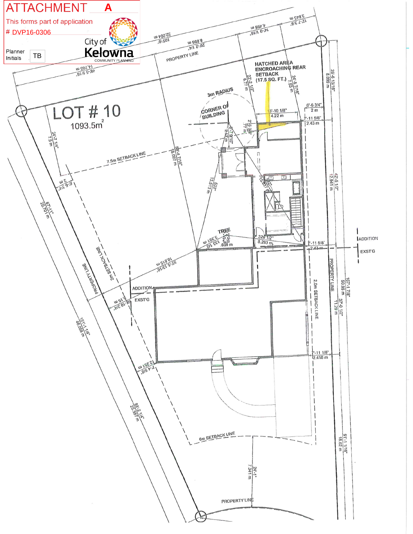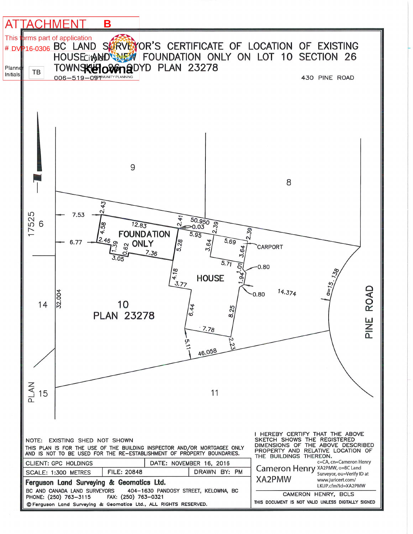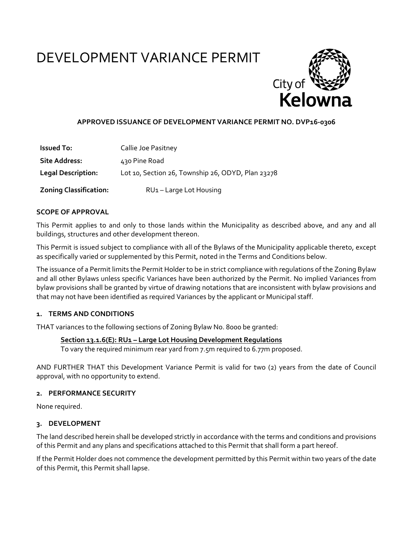# DEVELOPMENT VARIANCE PERMIT



## **APPROVED ISSUANCE OF DEVELOPMENT VARIANCE PERMIT NO. DVP16‐0306**

| <b>Issued To:</b>             | Callie Joe Pasitney                               |
|-------------------------------|---------------------------------------------------|
| <b>Site Address:</b>          | 430 Pine Road                                     |
| <b>Legal Description:</b>     | Lot 10, Section 26, Township 26, ODYD, Plan 23278 |
| <b>Zoning Classification:</b> | RU1-Large Lot Housing                             |

## **SCOPE OF APPROVAL**

This Permit applies to and only to those lands within the Municipality as described above, and any and all buildings, structures and other development thereon.

This Permit is issued subject to compliance with all of the Bylaws of the Municipality applicable thereto, except as specifically varied or supplemented by this Permit, noted in the Terms and Conditions below.

The issuance of a Permit limits the Permit Holder to be in strict compliance with regulations of the Zoning Bylaw and all other Bylaws unless specific Variances have been authorized by the Permit. No implied Variances from bylaw provisions shall be granted by virtue of drawing notations that are inconsistent with bylaw provisions and that may not have been identified as required Variances by the applicant or Municipal staff.

## **1. TERMS AND CONDITIONS**

THAT variances to the following sections of Zoning Bylaw No. 8000 be granted:

#### **Section 13.1.6(E): RU1 – Large Lot Housing Development Regulations**

To vary the required minimum rear yard from 7.5m required to 6.77m proposed.

AND FURTHER THAT this Development Variance Permit is valid for two (2) years from the date of Council approval, with no opportunity to extend.

#### **2. PERFORMANCE SECURITY**

None required.

## **3. DEVELOPMENT**

The land described herein shall be developed strictly in accordance with the terms and conditions and provisions of this Permit and any plans and specifications attached to this Permit that shall form a part hereof.

If the Permit Holder does not commence the development permitted by this Permit within two years of the date of this Permit, this Permit shall lapse.